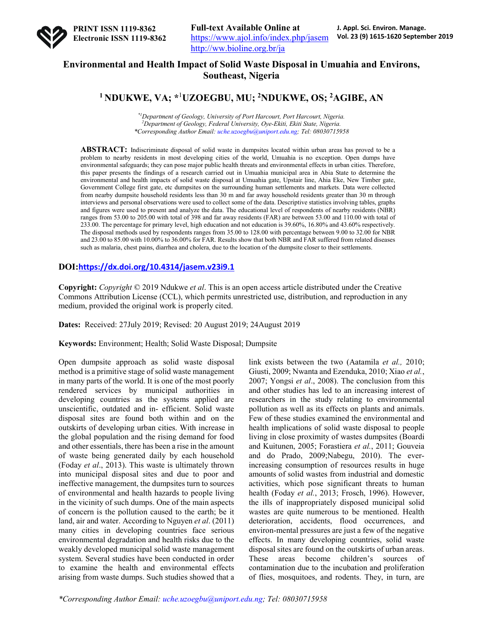

## **Environmental and Health Impact of Solid Waste Disposal in Umuahia and Environs, Southeast, Nigeria**

# **1 NDUKWE, VA; \***<sup>1</sup> **UZOEGBU, MU; 2NDUKWE, OS; 2AGIBE, AN**

*\*1Department of Geology, University of Port Harcourt, Port Harcourt, Nigeria. 2 Department of Geology, Federal University, Oye-Ekiti, Ekiti State, Nigeria. \*Corresponding Author Email: uche.uzoegbu@uniport.edu.ng; Tel: 08030715958*

**ABSTRACT:** Indiscriminate disposal of solid waste in dumpsites located within urban areas has proved to be a problem to nearby residents in most developing cities of the world, Umuahia is no exception. Open dumps have environmental safeguards; they can pose major public health threats and environmental effects in urban cities. Therefore, this paper presents the findings of a research carried out in Umuahia municipal area in Abia State to determine the environmental and health impacts of solid waste disposal at Umuahia gate, Upstair line, Ahia Eke, New Timber gate, Government College first gate, etc dumpsites on the surrounding human settlements and markets. Data were collected from nearby dumpsite household residents less than 30 m and far away household residents greater than 30 m through interviews and personal observations were used to collect some of the data. Descriptive statistics involving tables, graphs and figures were used to present and analyze the data. The educational level of respondents of nearby residents (NBR) ranges from 53.00 to 205.00 with total of 398 and far away residents (FAR) are between 53.00 and 110.00 with total of 233.00. The percentage for primary level, high education and not education is 39.60%, 16.80% and 43.60% respectively. The disposal methods used by respondents ranges from 35.00 to 128.00 with percentage between 9.00 to 32.00 for NBR and 23.00 to 85.00 with 10.00% to 36.00% for FAR. Results show that both NBR and FAR suffered from related diseases such as malaria, chest pains, diarrhea and cholera, due to the location of the dumpsite closer to their settlements.

## **DOI:https://dx.doi.org/10.4314/jasem.v23i9.1**

**Copyright:** *Copyright* © 2019 Ndukwe *et al*. This is an open access article distributed under the Creative Commons Attribution License (CCL), which permits unrestricted use, distribution, and reproduction in any medium, provided the original work is properly cited.

**Dates:** Received: 27July 2019; Revised: 20 August 2019; 24August 2019

**Keywords:** Environment; Health; Solid Waste Disposal; Dumpsite

Open dumpsite approach as solid waste disposal method is a primitive stage of solid waste management in many parts of the world. It is one of the most poorly rendered services by municipal authorities in developing countries as the systems applied are unscientific, outdated and in- efficient. Solid waste disposal sites are found both within and on the outskirts of developing urban cities. With increase in the global population and the rising demand for food and other essentials, there has been a rise in the amount of waste being generated daily by each household (Foday *et al*., 2013). This waste is ultimately thrown into municipal disposal sites and due to poor and ineffective management, the dumpsites turn to sources of environmental and health hazards to people living in the vicinity of such dumps. One of the main aspects of concern is the pollution caused to the earth; be it land, air and water. According to Nguyen *et al*. (2011) many cities in developing countries face serious environmental degradation and health risks due to the weakly developed municipal solid waste management system. Several studies have been conducted in order to examine the health and environmental effects arising from waste dumps. Such studies showed that a

link exists between the two (Aatamila *et al.,* 2010; Giusti, 2009; Nwanta and Ezenduka, 2010; Xiao *et al.*, 2007; Yongsi *et al*., 2008). The conclusion from this and other studies has led to an increasing interest of researchers in the study relating to environmental pollution as well as its effects on plants and animals. Few of these studies examined the environmental and health implications of solid waste disposal to people living in close proximity of wastes dumpsites (Boardi and Kuitunen, 2005; Forastiera *et al.*, 2011; Gouveia and do Prado, 2009;Nabegu, 2010). The everincreasing consumption of resources results in huge amounts of solid wastes from industrial and domestic activities, which pose significant threats to human health (Foday *et al.*, 2013; Frosch, 1996). However, the ills of inappropriately disposed municipal solid wastes are quite numerous to be mentioned. Health deterioration, accidents, flood occurrences, and environ-mental pressures are just a few of the negative effects. In many developing countries, solid waste disposal sites are found on the outskirts of urban areas. These areas become children's sources of contamination due to the incubation and proliferation of flies, mosquitoes, and rodents. They, in turn, are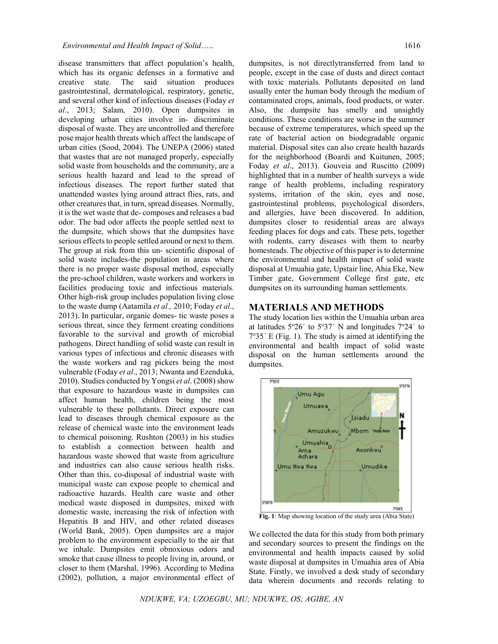disease transmitters that affect population's health,

which has its organic defenses in a formative and creative state. The said situation produces gastrointestinal, dermatological, respiratory, genetic, and several other kind of infectious diseases (Foday *et al*., 2013; Salam, 2010). Open dumpsites in developing urban cities involve in- discriminate disposal of waste. They are uncontrolled and therefore pose major health threats which affect the landscape of urban cities (Sood, 2004). The UNEPA (2006) stated that wastes that are not managed properly, especially solid waste from households and the community, are a serious health hazard and lead to the spread of infectious diseases. The report further stated that unattended wastes lying around attract flies, rats, and other creatures that, in turn, spread diseases. Normally, it is the wet waste that de- composes and releases a bad odor. The bad odor affects the people settled next to the dumpsite, which shows that the dumpsites have serious effects to people settled around or next to them. The group at risk from this un- scientific disposal of solid waste includes-the population in areas where there is no proper waste disposal method, especially the pre-school children, waste workers and workers in facilities producing toxic and infectious materials. Other high-risk group includes population living close to the waste dump (Aatamila *et al.,* 2010; Foday *et al*., 2013). In particular, organic domes- tic waste poses a serious threat, since they ferment creating conditions favorable to the survival and growth of microbial pathogens. Direct handling of solid waste can result in various types of infectious and chronic diseases with the waste workers and rag pickers being the most vulnerable (Foday *et al*., 2013; Nwanta and Ezenduka, 2010). Studies conducted by Yongsi *et al*. (2008) show that exposure to hazardous waste in dumpsites can affect human health, children being the most vulnerable to these pollutants. Direct exposure can lead to diseases through chemical exposure as the release of chemical waste into the environment leads to chemical poisoning. Rushton (2003) in his studies to establish a connection between health and hazardous waste showed that waste from agriculture and industries can also cause serious health risks. Other than this, co-disposal of industrial waste with municipal waste can expose people to chemical and radioactive hazards. Health care waste and other medical waste disposed in dumpsites, mixed with domestic waste, increasing the risk of infection with Hepatitis B and HIV, and other related diseases (World Bank, 2005). Open dumpsites are a major problem to the environment especially to the air that we inhale. Dumpsites emit obnoxious odors and smoke that cause illness to people living in, around, or closer to them (Marshal, 1996). According to Medina (2002), pollution, a major environmental effect of people, except in the case of dusts and direct contact with toxic materials. Pollutants deposited on land usually enter the human body through the medium of contaminated crops, animals, food products, or water. Also, the dumpsite has smelly and unsightly conditions. These conditions are worse in the summer because of extreme temperatures, which speed up the rate of bacterial action on biodegradable organic material. Disposal sites can also create health hazards for the neighborhood (Boardi and Kuitunen, 2005; Foday *et al*., 2013). Gouveia and Ruscitto (2009) highlighted that in a number of health surveys a wide range of health problems, including respiratory systems, irritation of the skin, eyes and nose, gastrointestinal problems, psychological disorders, and allergies, have been discovered. In addition, dumpsites closer to residential areas are always feeding places for dogs and cats. These pets, together with rodents, carry diseases with them to nearby homesteads. The objective of this paper is to determine the environmental and health impact of solid waste disposal at Umuahia gate, Upstair line, Ahia Eke, New Timber gate, Government College first gate, etc dumpsites on its surrounding human settlements.

## **MATERIALS AND METHODS**

The study location lies within the Umuahia urban area at latitudes  $5^{\circ}26'$  to  $5^{\circ}37'$  N and longitudes  $7^{\circ}24'$  to  $7°35'$  E (Fig. 1). The study is aimed at identifying the environmental and health impact of solid waste disposal on the human settlements around the dumpsites.



**Fig. 1**: Map showing location of the study area (Abia State)

We collected the data for this study from both primary and secondary sources to present the findings on the environmental and health impacts caused by solid waste disposal at dumpsites in Umuahia area of Abia State. Firstly, we involved a desk study of secondary data wherein documents and records relating to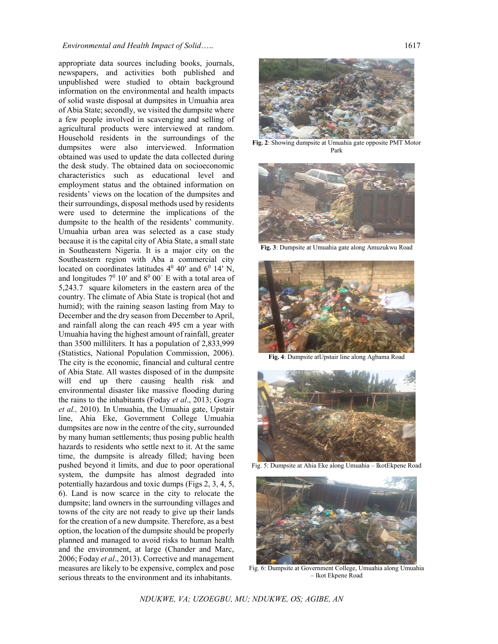### *Environmental and Health Impact of Solid*….. 1617

appropriate data sources including books, journals, newspapers, and activities both published and unpublished were studied to obtain background information on the environmental and health impacts of solid waste disposal at dumpsites in Umuahia area of Abia State; secondly, we visited the dumpsite where a few people involved in scavenging and selling of agricultural products were interviewed at random. Household residents in the surroundings of the dumpsites were also interviewed. Information obtained was used to update the data collected during the desk study. The obtained data on socioeconomic characteristics such as educational level and employment status and the obtained information on residents' views on the location of the dumpsites and their surroundings, disposal methods used by residents were used to determine the implications of the dumpsite to the health of the residents' community. Umuahia urban area was selected as a case study because it is the capital city of Abia State, a small state in Southeastern Nigeria. It is a major city on the Southeastern region with Aba a commercial city located on coordinates latitudes  $4^0$  40' and  $6^0$  14' N, and longitudes  $7^0$  10' and  $8^0$  00' E with a total area of 5,243.7 square kilometers in the eastern area of the country. The climate of Abia State is tropical (hot and humid); with the raining season lasting from May to December and the dry season from December to April, and rainfall along the can reach 495 cm a year with Umuahia having the highest amount of rainfall, greater than 3500 milliliters. It has a population of 2,833,999 (Statistics, National Population Commission, 2006). The city is the economic, financial and cultural centre of Abia State. All wastes disposed of in the dumpsite will end up there causing health risk and environmental disaster like massive flooding during the rains to the inhabitants (Foday *et al*., 2013; Gogra *et al.,* 2010). In Umuahia, the Umuahia gate, Upstair line, Ahia Eke, Government College Umuahia dumpsites are now in the centre of the city, surrounded by many human settlements; thus posing public health hazards to residents who settle next to it. At the same time, the dumpsite is already filled; having been pushed beyond it limits, and due to poor operational system, the dumpsite has almost degraded into potentially hazardous and toxic dumps (Figs 2, 3, 4, 5, 6). Land is now scarce in the city to relocate the dumpsite; land owners in the surrounding villages and towns of the city are not ready to give up their lands for the creation of a new dumpsite. Therefore, as a best option, the location of the dumpsite should be properly planned and managed to avoid risks to human health and the environment, at large (Chander and Marc, 2006; Foday *et al*., 2013). Corrective and management measures are likely to be expensive, complex and pose serious threats to the environment and its inhabitants.



**Fig. 2**: Showing dumpsite at Umuahia gate opposite PMT Motor Park



**Fig. 3**: Dumpsite at Umuahia gate along Amuzukwu Road



**Fig. 4**: Dumpsite atUpstair line along Agbama Road



Fig. 5: Dumpsite at Ahia Eke along Umuahia – IkotEkpene Road



Fig. 6: Dumpsite at Government College, Umuahia along Umuahia – Ikot Ekpene Road

*NDUKWE, VA; UZOEGBU, MU; NDUKWE, OS; AGIBE, AN*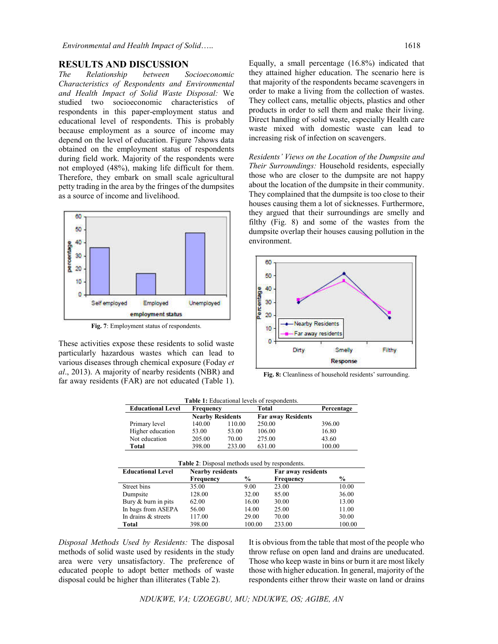#### **RESULTS AND DISCUSSION**

*The Relationship between Socioeconomic Characteristics of Respondents and Environmental and Health Impact of Solid Waste Disposal:* We studied two socioeconomic characteristics of respondents in this paper-employment status and educational level of respondents. This is probably because employment as a source of income may depend on the level of education. Figure 7shows data obtained on the employment status of respondents during field work. Majority of the respondents were not employed (48%), making life difficult for them. Therefore, they embark on small scale agricultural petty trading in the area by the fringes of the dumpsites as a source of income and livelihood.



**Fig. 7**: Employment status of respondents.

These activities expose these residents to solid waste particularly hazardous wastes which can lead to various diseases through chemical exposure (Foday *et al*., 2013). A majority of nearby residents (NBR) and far away residents (FAR) are not educated (Table 1).

Equally, a small percentage (16.8%) indicated that they attained higher education. The scenario here is that majority of the respondents became scavengers in order to make a living from the collection of wastes. They collect cans, metallic objects, plastics and other products in order to sell them and make their living. Direct handling of solid waste, especially Health care waste mixed with domestic waste can lead to increasing risk of infection on scavengers.

*Residents' Views on the Location of the Dumpsite and Their Surroundings:* Household residents, especially those who are closer to the dumpsite are not happy about the location of the dumpsite in their community. They complained that the dumpsite is too close to their houses causing them a lot of sicknesses. Furthermore, they argued that their surroundings are smelly and filthy (Fig. 8) and some of the wastes from the dumpsite overlap their houses causing pollution in the environment.



**Fig. 8:** Cleanliness of household residents' surrounding.

|    |           | <b>Table 1:</b> Educational levels of respondents. |
|----|-----------|----------------------------------------------------|
| ۵Ι | Frequency | Total                                              |

| <b>Educational Level</b> | <b>Frequency</b>        |        | Total                     | Percentage |  |  |  |  |
|--------------------------|-------------------------|--------|---------------------------|------------|--|--|--|--|
|                          | <b>Nearby Residents</b> |        | <b>Far away Residents</b> |            |  |  |  |  |
| Primary level            | 140.00                  | 110.00 | 250.00                    | 396.00     |  |  |  |  |
| Higher education         | 53.00                   | 53.00  | 106.00                    | 16.80      |  |  |  |  |
| Not education            | 205.00                  | 70.00  | 275.00                    | 43.60      |  |  |  |  |
| Total                    | 398.00                  | 233.00 | 631.00                    | 100.00     |  |  |  |  |
|                          |                         |        |                           |            |  |  |  |  |

| <b>Table 2:</b> Disposal methods used by respondents. |                         |               |                    |               |  |  |  |  |  |
|-------------------------------------------------------|-------------------------|---------------|--------------------|---------------|--|--|--|--|--|
| <b>Educational Level</b>                              | <b>Nearby residents</b> |               | Far away residents |               |  |  |  |  |  |
|                                                       | Frequency               | $\frac{0}{0}$ | <b>Frequency</b>   | $\frac{6}{9}$ |  |  |  |  |  |
| Street bins                                           | 35.00                   | 9.00          | 23.00              | 10.00         |  |  |  |  |  |
| Dumpsite                                              | 128.00                  | 32.00         | 85.00              | 36.00         |  |  |  |  |  |
| Bury & burn in pits                                   | 62.00                   | 16.00         | 30.00              | 13.00         |  |  |  |  |  |
| In bags from ASEPA                                    | 56.00                   | 14.00         | 25.00              | 11.00         |  |  |  |  |  |
| In drains & streets                                   | 117.00                  | 29.00         | 70.00              | 30.00         |  |  |  |  |  |
| Total                                                 | 398.00                  | 100.00        | 233.00             | 100.00        |  |  |  |  |  |

*Disposal Methods Used by Residents:* The disposal methods of solid waste used by residents in the study area were very unsatisfactory. The preference of educated people to adopt better methods of waste disposal could be higher than illiterates (Table 2).

It is obvious from the table that most of the people who throw refuse on open land and drains are uneducated. Those who keep waste in bins or burn it are most likely those with higher education. In general, majority of the respondents either throw their waste on land or drains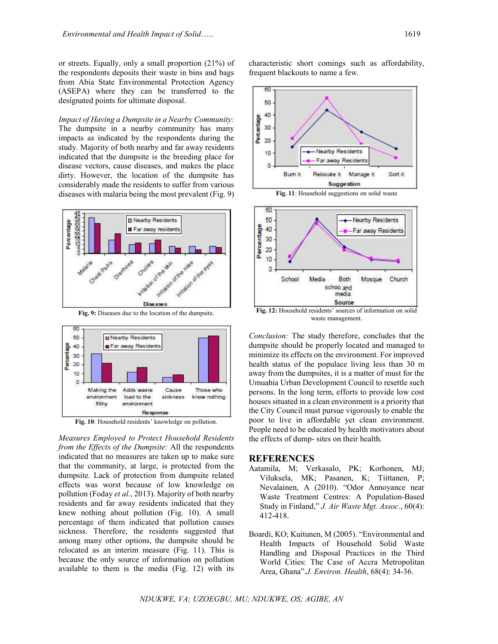or streets. Equally, only a small proportion (21%) of the respondents deposits their waste in bins and bags from Abia State Environmental Protection Agency (ASEPA) where they can be transferred to the designated points for ultimate disposal.

*Impact of Having a Dumpsite in a Nearby Community:*  The dumpsite in a nearby community has many impacts as indicated by the respondents during the study. Majority of both nearby and far away residents indicated that the dumpsite is the breeding place for disease vectors, cause diseases, and makes the place dirty. However, the location of the dumpsite has considerably made the residents to suffer from various diseases with malaria being the most prevalent (Fig. 9)



**Fig. 9:** Diseases due to the location of the dumpsite.



**Fig. 10**: Household residents' knowledge on pollution.

*Measures Employed to Protect Household Residents from the Effects of the Dumpsite:* All the respondents indicated that no measures are taken up to make sure that the community, at large, is protected from the dumpsite. Lack of protection from dumpsite related effects was worst because of low knowledge on pollution (Foday *et al*., 2013). Majority of both nearby residents and far away residents indicated that they knew nothing about pollution (Fig. 10). A small percentage of them indicated that pollution causes sickness. Therefore, the residents suggested that among many other options, the dumpsite should be relocated as an interim measure (Fig. 11). This is because the only source of information on pollution available to them is the media (Fig. 12) with its characteristic short comings such as affordability, frequent blackouts to name a few.





**Fig. 12:** Household residents' sources of information on solid waste management.

*Conclusion:* The study therefore, concludes that the dumpsite should be properly located and managed to minimize its effects on the environment. For improved health status of the populace living less than 30 m away from the dumpsites, it is a matter of must for the Umuahia Urban Development Council to resettle such persons. In the long term, efforts to provide low cost houses situated in a clean environment is a priority that the City Council must pursue vigorously to enable the poor to live in affordable yet clean environment. People need to be educated by health motivators about the effects of dump- sites on their health.

### **REFERENCES**

- Aatamila, M; Verkasalo, PK; Korhonen, MJ; Viluksela, MK; Pasanen, K; Tiittanen, P; Nevalainen, A (2010). "Odor Annoyance near Waste Treatment Centres: A Population-Based Study in Finland," *J. Air Waste Mgt. Assoc*., 60(4): 412-418.
- Boardi, KO; Kuitunen, M (2005). "Environmental and Health Impacts of Household Solid Waste Handling and Disposal Practices in the Third World Cities: The Case of Accra Metropolitan Area, Ghana".*J. Environ. Health*, 68(4): 34-36.